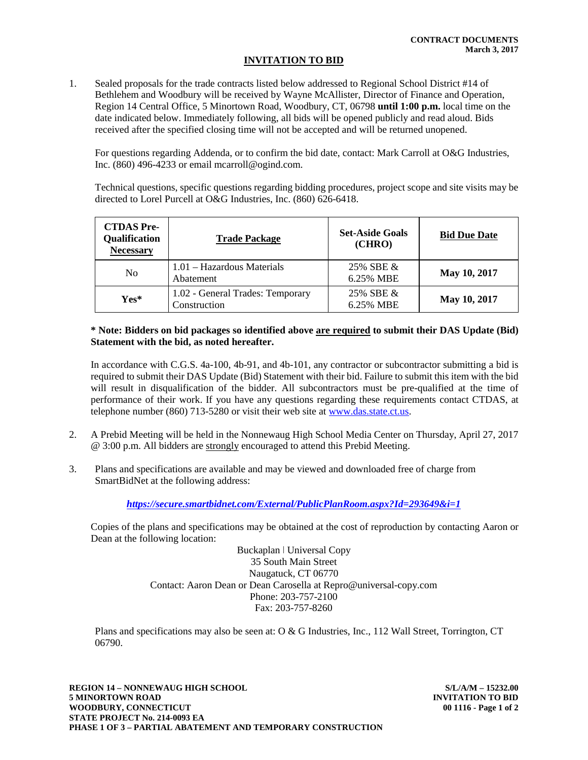## **INVITATION TO BID**

 $1<sub>1</sub>$  Bethlehem and Woodbury will be received by Wayne McAllister, Director of Finance and Operation, Region 14 Central Office, 5 Minortown Road, Woodbury, CT, 06798 **until 1:00 p.m.** local time on the date indicated below. Immediately following, all bids will be opened publicly and read aloud. Bids received after the specified closing time will not be accepted and will be returned unopened. 1. Sealed proposals for the trade contracts listed below addressed to Regional School District #14 of

 For questions regarding Addenda, or to confirm the bid date, contact: Mark Carroll at O&G Industries, Inc. (860) 496-4233 or email mcarroll@ogind.com.

 Technical questions, specific questions regarding bidding procedures, project scope and site visits may be directed to Lorel Purcell at O&G Industries, Inc. (860) 626-6418.

| <b>CTDAS</b> Pre-<br>Qualification<br><b>Necessary</b> | <b>Trade Package</b>                             | <b>Set-Aside Goals</b><br>(CHRO) | <b>Bid Due Date</b> |
|--------------------------------------------------------|--------------------------------------------------|----------------------------------|---------------------|
| N <sub>0</sub>                                         | 1.01 – Hazardous Materials<br>Abatement          | 25% SBE &<br>6.25% MBE           | May 10, 2017        |
| $Yes*$                                                 | 1.02 - General Trades: Temporary<br>Construction | 25% SBE &<br>6.25% MBE           | May 10, 2017        |

## **Statement with the bid, as noted hereafter. \* Note: Bidders on bid packages so identified above are required to submit their DAS Update (Bid)**

 required to submit their DAS Update (Bid) Statement with their bid. Failure to submit this item with the bid will result in disqualification of the bidder. All subcontractors must be pre-qualified at the time of performance of their work. If you have any questions regarding these requirements contact CTDAS, at telephone number (860) 713-5280 or visit their web site at **www.das.state.ct.us**. In accordance with C.G.S. 4a-100, 4b-91, and 4b-101, any contractor or subcontractor submitting a bid is

- 2. @ 3:00 p.m. All bidders are strongly encouraged to attend this Prebid Meeting. 2. A Prebid Meeting will be held in the Nonnewaug High School Media Center on Thursday, April 27, 2017
- $3.$  SmartBidNet at the following address: 3. Plans and specifications are available and may be viewed and downloaded free of charge from

 *https://secure.smartbidnet.com/External/PublicPlanRoom.aspx?Id=293649&i=1* 

 Dean at the following location: Copies of the plans and specifications may be obtained at the cost of reproduction by contacting Aaron or

 Buckaplan ǀ Universal Copy 35 South Main Street Naugatuck, CT 06770 Contact: Aaron Dean or Dean Carosella at Repro@universal-copy.com Phone: 203-757-2100 Fax: 203-757-8260

Plans and specifications may also be seen at: O & G Industries, Inc., 112 Wall Street, Torrington, CT 06790.

 **REGION 14 – NONNEWAUG HIGH SCHOOL S/L/A/M – 15232.00 5 MINORTOWN ROAD INVITATION TO BID STATE PROJECT No. 214-0093 EA PHASE 1 OF 3 – PARTIAL ABATEMENT AND TEMPORARY CONSTRUCTION WOODBURY, CONNECTICUT** 

00 1116 - Page 1 of 2